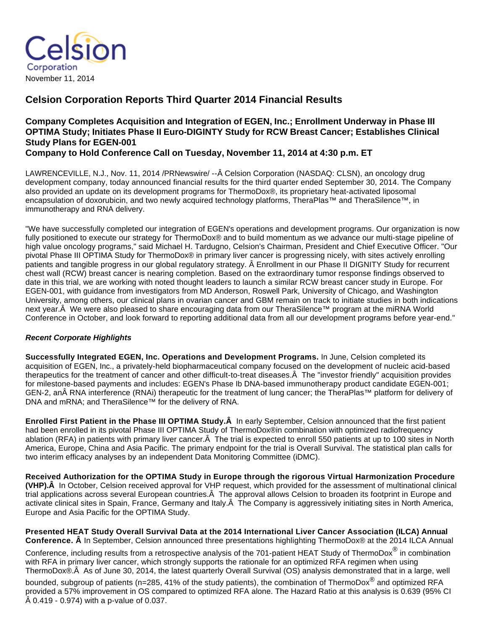

# **Celsion Corporation Reports Third Quarter 2014 Financial Results**

# **Company Completes Acquisition and Integration of EGEN, Inc.; Enrollment Underway in Phase III OPTIMA Study; Initiates Phase II Euro-DIGINTY Study for RCW Breast Cancer; Establishes Clinical Study Plans for EGEN-001**

**Company to Hold Conference Call on Tuesday, November 11, 2014 at 4:30 p.m. ET**

LAWRENCEVILLE, N.J., Nov. 11, 2014 /PRNewswire/ --Â Celsion Corporation (NASDAQ: CLSN), an oncology drug development company, today announced financial results for the third quarter ended September 30, 2014. The Company also provided an update on its development programs for ThermoDox®, its proprietary heat-activated liposomal encapsulation of doxorubicin, and two newly acquired technology platforms, TheraPlas™ and TheraSilence™, in immunotherapy and RNA delivery.

"We have successfully completed our integration of EGEN's operations and development programs. Our organization is now fully positioned to execute our strategy for ThermoDox® and to build momentum as we advance our multi-stage pipeline of high value oncology programs," said Michael H. Tardugno, Celsion's Chairman, President and Chief Executive Officer. "Our pivotal Phase III OPTIMA Study for ThermoDox® in primary liver cancer is progressing nicely, with sites actively enrolling patients and tangible progress in our global regulatory strategy. Â Enrollment in our Phase II DIGNITY Study for recurrent chest wall (RCW) breast cancer is nearing completion. Based on the extraordinary tumor response findings observed to date in this trial, we are working with noted thought leaders to launch a similar RCW breast cancer study in Europe. For EGEN-001, with guidance from investigators from MD Anderson, Roswell Park, University of Chicago, and Washington University, among others, our clinical plans in ovarian cancer and GBM remain on track to initiate studies in both indications next year. We were also pleased to share encouraging data from our TheraSilence™ program at the miRNA World Conference in October, and look forward to reporting additional data from all our development programs before year-end."

## **Recent Corporate Highlights**

**Successfully Integrated EGEN, Inc. Operations and Development Programs.** In June, Celsion completed its acquisition of EGEN, Inc., a privately-held biopharmaceutical company focused on the development of nucleic acid-based therapeutics for the treatment of cancer and other difficult-to-treat diseases.  $\hat{A}$  The "investor friendly" acquisition provides for milestone-based payments and includes: EGEN's Phase Ib DNA-based immunotherapy product candidate EGEN-001; GEN-2, an RNA interference (RNAi) therapeutic for the treatment of lung cancer; the TheraPlas™ platform for delivery of DNA and mRNA; and TheraSilence™ for the delivery of RNA.

**Enrolled First Patient in the Phase III OPTIMA Study.** A In early September, Celsion announced that the first patient had been enrolled in its pivotal Phase III OPTIMA Study of ThermoDox®in combination with optimized radiofrequency ablation (RFA) in patients with primary liver cancer. A The trial is expected to enroll 550 patients at up to 100 sites in North America, Europe, China and Asia Pacific. The primary endpoint for the trial is Overall Survival. The statistical plan calls for two interim efficacy analyses by an independent Data Monitoring Committee (iDMC).

**Received Authorization for the OPTIMA Study in Europe through the rigorous Virtual Harmonization Procedure (VHP).** In October, Celsion received approval for VHP request, which provided for the assessment of multinational clinical trial applications across several European countries. A The approval allows Celsion to broaden its footprint in Europe and activate clinical sites in Spain, France, Germany and Italy. A The Company is aggressively initiating sites in North America, Europe and Asia Pacific for the OPTIMA Study.

### **Presented HEAT Study Overall Survival Data at the 2014 International Liver Cancer Association (ILCA) Annual Conference. Â** In September, Celsion announced three presentations highlighting ThermoDox® at the 2014 ILCA Annual

Conference, including results from a retrospective analysis of the 701-patient HEAT Study of ThermoDox $^\circledR$  in combination with RFA in primary liver cancer, which strongly supports the rationale for an optimized RFA regimen when using ThermoDox®. A As of June 30, 2014, the latest quarterly Overall Survival (OS) analysis demonstrated that in a large, well

bounded, subgroup of patients (n=285, 41% of the study patients), the combination of ThermoDox<sup>®</sup> and optimized RFA provided a 57% improvement in OS compared to optimized RFA alone. The Hazard Ratio at this analysis is 0.639 (95% CI  $\hat{A}$  0.419 - 0.974) with a p-value of 0.037.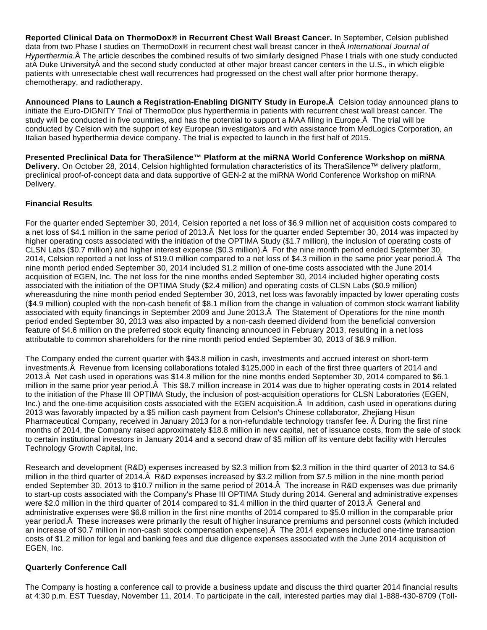**Reported Clinical Data on ThermoDox® in Recurrent Chest Wall Breast Cancer.** In September, Celsion published data from two Phase I studies on ThermoDox® in recurrent chest wall breast cancer in the A International Journal of Hyperthermia. A The article describes the combined results of two similarly designed Phase I trials with one study conducted at Duke University and the second study conducted at other major breast cancer centers in the U.S., in which eligible patients with unresectable chest wall recurrences had progressed on the chest wall after prior hormone therapy, chemotherapy, and radiotherapy.

Announced Plans to Launch a Registration-Enabling DIGNITY Study in Europe. A Celsion today announced plans to initiate the Euro-DIGNITY Trial of ThermoDox plus hyperthermia in patients with recurrent chest wall breast cancer. The study will be conducted in five countries, and has the potential to support a MAA filing in Europe. A The trial will be conducted by Celsion with the support of key European investigators and with assistance from MedLogics Corporation, an Italian based hyperthermia device company. The trial is expected to launch in the first half of 2015.

**Presented Preclinical Data for TheraSilence™ Platform at the miRNA World Conference Workshop on miRNA Delivery.** On October 28, 2014, Celsion highlighted formulation characteristics of its TheraSilence™ delivery platform, preclinical proof-of-concept data and data supportive of GEN-2 at the miRNA World Conference Workshop on miRNA Delivery.

## **Financial Results**

For the quarter ended September 30, 2014, Celsion reported a net loss of \$6.9 million net of acquisition costs compared to a net loss of \$4.1 million in the same period of 2013. A Net loss for the quarter ended September 30, 2014 was impacted by higher operating costs associated with the initiation of the OPTIMA Study (\$1.7 million), the inclusion of operating costs of CLSN Labs (\$0.7 million) and higher interest expense (\$0.3 million). $\hat{A}$  For the nine month period ended September 30, 2014, Celsion reported a net loss of \$19.0 million compared to a net loss of \$4.3 million in the same prior year period. Â The nine month period ended September 30, 2014 included \$1.2 million of one-time costs associated with the June 2014 acquisition of EGEN, Inc. The net loss for the nine months ended September 30, 2014 included higher operating costs associated with the initiation of the OPTIMA Study (\$2.4 million) and operating costs of CLSN Labs (\$0.9 million) whereasduring the nine month period ended September 30, 2013, net loss was favorably impacted by lower operating costs (\$4.9 million) coupled with the non-cash benefit of \$8.1 million from the change in valuation of common stock warrant liability associated with equity financings in September 2009 and June 2013. A The Statement of Operations for the nine month period ended September 30, 2013 was also impacted by a non-cash deemed dividend from the beneficial conversion feature of \$4.6 million on the preferred stock equity financing announced in February 2013, resulting in a net loss attributable to common shareholders for the nine month period ended September 30, 2013 of \$8.9 million.

The Company ended the current quarter with \$43.8 million in cash, investments and accrued interest on short-term investments. Å Revenue from licensing collaborations totaled \$125,000 in each of the first three quarters of 2014 and 2013. A Net cash used in operations was \$14.8 million for the nine months ended September 30, 2014 compared to \$6.1 million in the same prior year period. This \$8.7 million increase in 2014 was due to higher operating costs in 2014 related to the initiation of the Phase III OPTIMA Study, the inclusion of post-acquisition operations for CLSN Laboratories (EGEN, Inc.) and the one-time acquisition costs associated with the EGEN acquisition. $\hat{A}$  In addition, cash used in operations during 2013 was favorably impacted by a \$5 million cash payment from Celsion's Chinese collaborator, Zhejiang Hisun Pharmaceutical Company, received in January 2013 for a non-refundable technology transfer fee. Â During the first nine months of 2014, the Company raised approximately \$18.8 million in new capital, net of issuance costs, from the sale of stock to certain institutional investors in January 2014 and a second draw of \$5 million off its venture debt facility with Hercules Technology Growth Capital, Inc.

Research and development (R&D) expenses increased by \$2.3 million from \$2.3 million in the third quarter of 2013 to \$4.6 million in the third quarter of 2014. R&D expenses increased by \$3.2 million from \$7.5 million in the nine month period ended September 30, 2013 to \$10.7 million in the same period of 2014. A The increase in R&D expenses was due primarily to start-up costs associated with the Company's Phase III OPTIMA Study during 2014. General and administrative expenses were \$2.0 million in the third quarter of 2014 compared to \$1.4 million in the third quarter of 2013. Â General and administrative expenses were \$6.8 million in the first nine months of 2014 compared to \$5.0 million in the comparable prior year period. A These increases were primarily the result of higher insurance premiums and personnel costs (which included an increase of \$0.7 million in non-cash stock compensation expense). Â The 2014 expenses included one-time transaction costs of \$1.2 million for legal and banking fees and due diligence expenses associated with the June 2014 acquisition of EGEN, Inc.

### **Quarterly Conference Call**

The Company is hosting a conference call to provide a business update and discuss the third quarter 2014 financial results at 4:30 p.m. EST Tuesday, November 11, 2014. To participate in the call, interested parties may dial 1-888-430-8709 (Toll-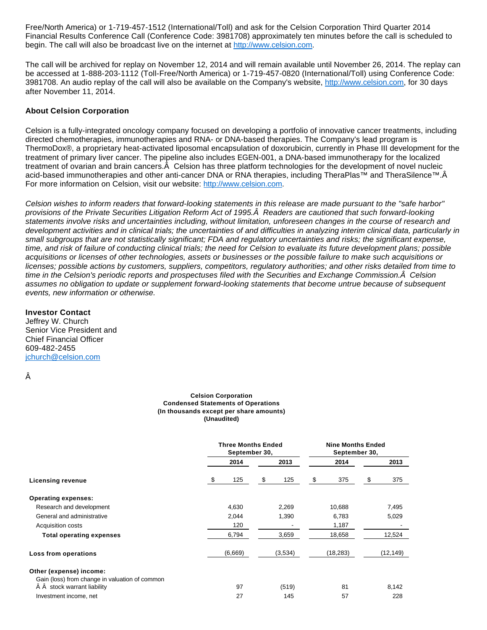Free/North America) or 1-719-457-1512 (International/Toll) and ask for the Celsion Corporation Third Quarter 2014 Financial Results Conference Call (Conference Code: 3981708) approximately ten minutes before the call is scheduled to begin. The call will also be broadcast live on the internet at [http://www.celsion.com.](http://www.celsion.com/)

The call will be archived for replay on November 12, 2014 and will remain available until November 26, 2014. The replay can be accessed at 1-888-203-1112 (Toll-Free/North America) or 1-719-457-0820 (International/Toll) using Conference Code: 3981708. An audio replay of the call will also be available on the Company's website, [http://www.celsion.com,](http://www.celsion.com/) for 30 days after November 11, 2014.

#### **About Celsion Corporation**

Celsion is a fully-integrated oncology company focused on developing a portfolio of innovative cancer treatments, including directed chemotherapies, immunotherapies and RNA- or DNA-based therapies. The Company's lead program is ThermoDox®, a proprietary heat-activated liposomal encapsulation of doxorubicin, currently in Phase III development for the treatment of primary liver cancer. The pipeline also includes EGEN-001, a DNA-based immunotherapy for the localized treatment of ovarian and brain cancers. Â Celsion has three platform technologies for the development of novel nucleic acid-based immunotherapies and other anti-cancer DNA or RNA therapies, including TheraPlas™ and TheraSilence™.Â For more information on Celsion, visit our website: [http://www.celsion.com.](http://www.celsion.com/)

Celsion wishes to inform readers that forward-looking statements in this release are made pursuant to the "safe harbor" provisions of the Private Securities Litigation Reform Act of 1995. A Readers are cautioned that such forward-looking statements involve risks and uncertainties including, without limitation, unforeseen changes in the course of research and development activities and in clinical trials; the uncertainties of and difficulties in analyzing interim clinical data, particularly in small subgroups that are not statistically significant; FDA and regulatory uncertainties and risks; the significant expense, time, and risk of failure of conducting clinical trials; the need for Celsion to evaluate its future development plans; possible acquisitions or licenses of other technologies, assets or businesses or the possible failure to make such acquisitions or licenses; possible actions by customers, suppliers, competitors, regulatory authorities; and other risks detailed from time to time in the Celsion's periodic reports and prospectuses filed with the Securities and Exchange Commission. Â Celsion assumes no obligation to update or supplement forward-looking statements that become untrue because of subsequent events, new information or otherwise.

#### **Investor Contact**

Jeffrey W. Church Senior Vice President and Chief Financial Officer 609-482-2455 [jchurch@celsion.com](mailto:jchurch@celsion.com)

Â

#### **Celsion Corporation Condensed Statements of Operations (In thousands except per share amounts) (Unaudited)**

|                                                | <b>Three Months Ended</b><br>September 30, |           | <b>Nine Months Ended</b><br>September 30, |           |  |
|------------------------------------------------|--------------------------------------------|-----------|-------------------------------------------|-----------|--|
|                                                | 2014                                       | 2013      | 2014                                      | 2013      |  |
| <b>Licensing revenue</b>                       | \$<br>125                                  | \$<br>125 | \$<br>375                                 | 375<br>\$ |  |
| <b>Operating expenses:</b>                     |                                            |           |                                           |           |  |
| Research and development                       | 4,630                                      | 2,269     | 10,688                                    | 7,495     |  |
| General and administrative                     | 2,044                                      | 1,390     | 6,783                                     | 5,029     |  |
| Acquisition costs                              | 120                                        |           | 1,187                                     |           |  |
| <b>Total operating expenses</b>                | 6,794                                      | 3,659     | 18,658                                    | 12,524    |  |
| Loss from operations                           | (6,669)                                    | (3,534)   | (18, 283)                                 | (12,149)  |  |
| Other (expense) income:                        |                                            |           |                                           |           |  |
| Gain (loss) from change in valuation of common |                                            |           |                                           |           |  |
| stock warrant liability                        | 97                                         | (519)     | 81                                        | 8,142     |  |
| Investment income, net                         | 27                                         | 145       | 57                                        | 228       |  |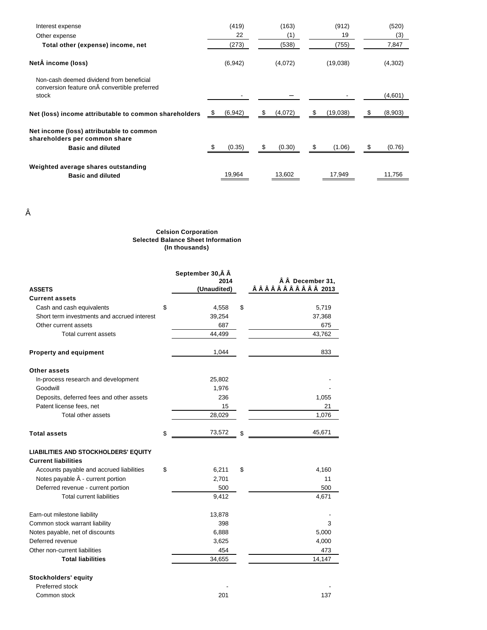| Interest expense                                                                                  | (419)    | (163)        | (912)         | (520)   |
|---------------------------------------------------------------------------------------------------|----------|--------------|---------------|---------|
| Other expense                                                                                     | 22       | (1)          | 19            | (3)     |
| Total other (expense) income, net                                                                 | (273)    | (538)        | (755)         | 7,847   |
| Net income (loss)                                                                                 | (6, 942) | (4,072)      | (19,038)      | (4,302) |
| Non-cash deemed dividend from beneficial<br>conversion feature on  convertible preferred<br>stock |          |              |               | (4,601) |
| Net (loss) income attributable to common shareholders                                             | (6, 942) | (4,072)<br>S | (19,038)<br>S | (8,903) |
| Net income (loss) attributable to common<br>shareholders per common share                         |          |              |               |         |
| <b>Basic and diluted</b>                                                                          | (0.35)   | \$<br>(0.30) | \$<br>(1.06)  | (0.76)  |
| Weighted average shares outstanding                                                               |          |              |               |         |
| <b>Basic and diluted</b>                                                                          | 19,964   | 13,602       | 17,949        | 11,756  |

Â

#### **Celsion Corporation Selected Balance Sheet Information (In thousands)**

|                                             | September 30, Â Â   |                                     |
|---------------------------------------------|---------------------|-------------------------------------|
| <b>ASSETS</b>                               | 2014<br>(Unaudited) | ÂÂ December 31,<br>ÂÂÂÂÂÂÂÂÂÂÂ 2013 |
| <b>Current assets</b>                       |                     |                                     |
| Cash and cash equivalents                   | \$<br>4,558         | \$<br>5,719                         |
| Short term investments and accrued interest | 39,254              | 37,368                              |
| Other current assets                        | 687                 | 675                                 |
| Total current assets                        | 44,499              | 43,762                              |
| <b>Property and equipment</b>               | 1,044               | 833                                 |
| Other assets                                |                     |                                     |
| In-process research and development         | 25,802              |                                     |
| Goodwill                                    | 1,976               |                                     |
| Deposits, deferred fees and other assets    | 236                 | 1,055                               |
| Patent license fees, net                    | 15                  | 21                                  |
| Total other assets                          | 28,029              | 1,076                               |
| <b>Total assets</b>                         | \$<br>73,572        | \$<br>45,671                        |
| <b>LIABILITIES AND STOCKHOLDERS' EQUITY</b> |                     |                                     |
| <b>Current liabilities</b>                  |                     |                                     |
| Accounts payable and accrued liabilities    | \$<br>6,211         | \$<br>4,160                         |
| Notes payable $\hat{A}$ - current portion   | 2,701               | 11                                  |
| Deferred revenue - current portion          | 500                 | 500                                 |
| <b>Total current liabilities</b>            | 9,412               | 4,671                               |
| Earn-out milestone liability                | 13,878              |                                     |
| Common stock warrant liability              | 398                 | 3                                   |
| Notes payable, net of discounts             | 6,888               | 5,000                               |
| Deferred revenue                            | 3,625               | 4,000                               |
| Other non-current liabilities               | 454                 | 473                                 |
| <b>Total liabilities</b>                    | 34,655              | 14,147                              |
| Stockholders' equity                        |                     |                                     |
| Preferred stock                             |                     |                                     |
| Common stock                                | 201                 | 137                                 |